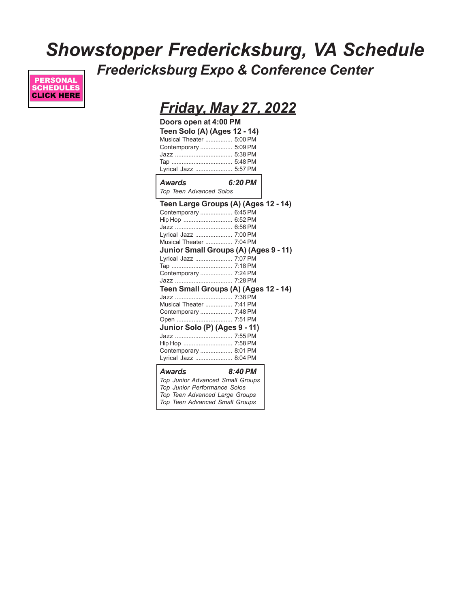## *Showstopper Fredericksburg, VA Schedule Fredericksburg Expo & Conference Center*



## *Friday, May 27, 2022*

| Doors open at 4:00 PM        |  |
|------------------------------|--|
| Teen Solo (A) (Ages 12 - 14) |  |
| Musical Theater  5:00 PM     |  |
| Contemporary  5:09 PM        |  |
|                              |  |
|                              |  |
| Lyrical Jazz  5:57 PM        |  |
|                              |  |

*Awards 6:20 PM Top Teen Advanced Solos*

| Teen Large Groups (A) (Ages 12 - 14)  |         |  |
|---------------------------------------|---------|--|
| Contemporary  6:45 PM                 |         |  |
| Hip Hop  6:52 PM                      |         |  |
|                                       |         |  |
| Lyrical Jazz  7:00 PM                 |         |  |
| Musical Theater  7:04 PM              |         |  |
| Junior Small Groups (A) (Ages 9 - 11) |         |  |
| Lyrical Jazz  7:07 PM                 |         |  |
|                                       |         |  |
| Contemporary  7:24 PM                 |         |  |
|                                       |         |  |
| Teen Small Groups (A) (Ages 12 - 14)  |         |  |
|                                       |         |  |
| <b>Musical Theater  7:41 PM</b>       |         |  |
| Contemporary  7:48 PM                 |         |  |
| Open  7:51 PM                         |         |  |
| Junior Solo (P) (Ages 9 - 11)         |         |  |
|                                       |         |  |
| Hip Hop  7:58 PM                      |         |  |
| Contemporary  8:01 PM                 |         |  |
| Lyrical Jazz  8:04 PM                 |         |  |
| Awards                                | 8:40 PM |  |
| Top Junior Advanced Small Groups      |         |  |
| Top Junior Performance Solos          |         |  |
| Top Teen Advanced Large Groups        |         |  |
| Top Teen Advanced Small Groups        |         |  |